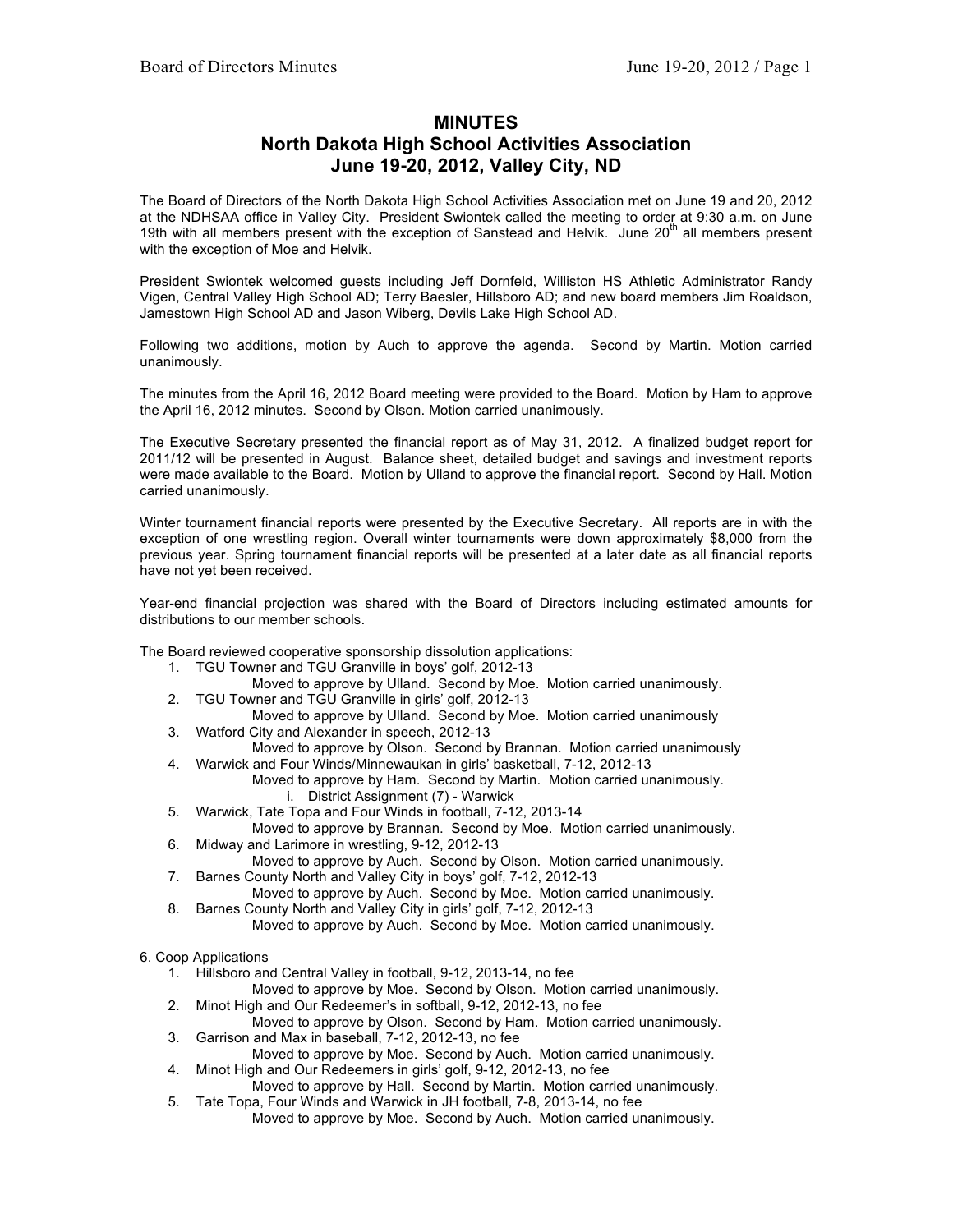## **MINUTES**

## **North Dakota High School Activities Association June 19-20, 2012, Valley City, ND**

The Board of Directors of the North Dakota High School Activities Association met on June 19 and 20, 2012 at the NDHSAA office in Valley City. President Swiontek called the meeting to order at 9:30 a.m. on June 19th with all members present with the exception of Sanstead and Helvik. June  $20<sup>th</sup>$  all members present with the exception of Moe and Helvik.

President Swiontek welcomed guests including Jeff Dornfeld, Williston HS Athletic Administrator Randy Vigen, Central Valley High School AD; Terry Baesler, Hillsboro AD; and new board members Jim Roaldson, Jamestown High School AD and Jason Wiberg, Devils Lake High School AD.

Following two additions, motion by Auch to approve the agenda. Second by Martin. Motion carried unanimously.

The minutes from the April 16, 2012 Board meeting were provided to the Board. Motion by Ham to approve the April 16, 2012 minutes. Second by Olson. Motion carried unanimously.

The Executive Secretary presented the financial report as of May 31, 2012. A finalized budget report for 2011/12 will be presented in August. Balance sheet, detailed budget and savings and investment reports were made available to the Board. Motion by Ulland to approve the financial report. Second by Hall. Motion carried unanimously.

Winter tournament financial reports were presented by the Executive Secretary. All reports are in with the exception of one wrestling region. Overall winter tournaments were down approximately \$8,000 from the previous year. Spring tournament financial reports will be presented at a later date as all financial reports have not yet been received.

Year-end financial projection was shared with the Board of Directors including estimated amounts for distributions to our member schools.

The Board reviewed cooperative sponsorship dissolution applications:

- 1. TGU Towner and TGU Granville in boys' golf, 2012-13
	- Moved to approve by Ulland. Second by Moe. Motion carried unanimously.
- 2. TGU Towner and TGU Granville in girls' golf, 2012-13
- Moved to approve by Ulland. Second by Moe. Motion carried unanimously 3. Watford City and Alexander in speech, 2012-13
- Moved to approve by Olson. Second by Brannan. Motion carried unanimously 4. Warwick and Four Winds/Minnewaukan in girls' basketball, 7-12, 2012-13
	- Moved to approve by Ham. Second by Martin. Motion carried unanimously. i. District Assignment (7) - Warwick
- 5. Warwick, Tate Topa and Four Winds in football, 7-12, 2013-14
- Moved to approve by Brannan. Second by Moe. Motion carried unanimously. 6. Midway and Larimore in wrestling, 9-12, 2012-13
- Moved to approve by Auch. Second by Olson. Motion carried unanimously. 7. Barnes County North and Valley City in boys' golf, 7-12, 2012-13
- Moved to approve by Auch. Second by Moe. Motion carried unanimously.
- 8. Barnes County North and Valley City in girls' golf, 7-12, 2012-13

Moved to approve by Auch. Second by Moe. Motion carried unanimously.

6. Coop Applications

- 1. Hillsboro and Central Valley in football, 9-12, 2013-14, no fee
	- Moved to approve by Moe. Second by Olson. Motion carried unanimously.
- 2. Minot High and Our Redeemer's in softball, 9-12, 2012-13, no fee
- Moved to approve by Olson. Second by Ham. Motion carried unanimously. 3. Garrison and Max in baseball, 7-12, 2012-13, no fee
- Moved to approve by Moe. Second by Auch. Motion carried unanimously. 4. Minot High and Our Redeemers in girls' golf, 9-12, 2012-13, no fee
- Moved to approve by Hall. Second by Martin. Motion carried unanimously.
- 5. Tate Topa, Four Winds and Warwick in JH football, 7-8, 2013-14, no fee Moved to approve by Moe. Second by Auch. Motion carried unanimously.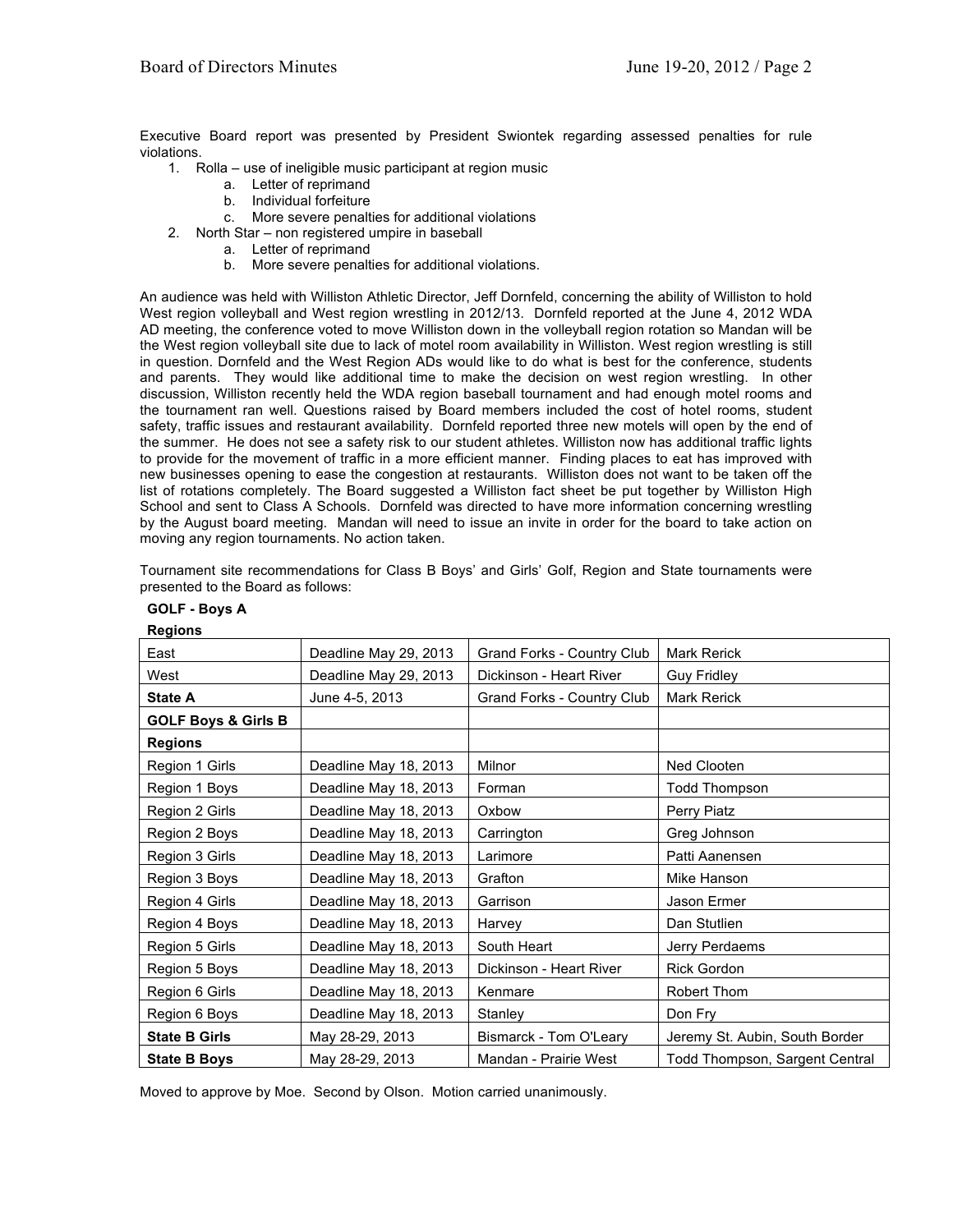Executive Board report was presented by President Swiontek regarding assessed penalties for rule violations.

- 1. Rolla use of ineligible music participant at region music
	- a. Letter of reprimand
	- b. Individual forfeiture
	- c. More severe penalties for additional violations
- 2. North Star non registered umpire in baseball
	- a. Letter of reprimand
	- b. More severe penalties for additional violations.

An audience was held with Williston Athletic Director, Jeff Dornfeld, concerning the ability of Williston to hold West region volleyball and West region wrestling in 2012/13. Dornfeld reported at the June 4, 2012 WDA AD meeting, the conference voted to move Williston down in the volleyball region rotation so Mandan will be the West region volleyball site due to lack of motel room availability in Williston. West region wrestling is still in question. Dornfeld and the West Region ADs would like to do what is best for the conference, students and parents. They would like additional time to make the decision on west region wrestling. In other discussion, Williston recently held the WDA region baseball tournament and had enough motel rooms and the tournament ran well. Questions raised by Board members included the cost of hotel rooms, student safety, traffic issues and restaurant availability. Dornfeld reported three new motels will open by the end of the summer. He does not see a safety risk to our student athletes. Williston now has additional traffic lights to provide for the movement of traffic in a more efficient manner. Finding places to eat has improved with new businesses opening to ease the congestion at restaurants. Williston does not want to be taken off the list of rotations completely. The Board suggested a Williston fact sheet be put together by Williston High School and sent to Class A Schools. Dornfeld was directed to have more information concerning wrestling by the August board meeting. Mandan will need to issue an invite in order for the board to take action on moving any region tournaments. No action taken.

Tournament site recommendations for Class B Boys' and Girls' Golf, Region and State tournaments were presented to the Board as follows:

| negivnə                        |                       |                                   |                                       |
|--------------------------------|-----------------------|-----------------------------------|---------------------------------------|
| East                           | Deadline May 29, 2013 | <b>Grand Forks - Country Club</b> | Mark Rerick                           |
| West                           | Deadline May 29, 2013 | Dickinson - Heart River           | <b>Guy Fridley</b>                    |
| <b>State A</b>                 | June 4-5, 2013        | Grand Forks - Country Club        | Mark Rerick                           |
| <b>GOLF Boys &amp; Girls B</b> |                       |                                   |                                       |
| <b>Regions</b>                 |                       |                                   |                                       |
| Region 1 Girls                 | Deadline May 18, 2013 | Milnor                            | Ned Clooten                           |
| Region 1 Boys                  | Deadline May 18, 2013 | Forman                            | Todd Thompson                         |
| Region 2 Girls                 | Deadline May 18, 2013 | Oxbow                             | Perry Piatz                           |
| Region 2 Boys                  | Deadline May 18, 2013 | Carrington                        | Greg Johnson                          |
| Region 3 Girls                 | Deadline May 18, 2013 | Larimore                          | Patti Aanensen                        |
| Region 3 Boys                  | Deadline May 18, 2013 | Grafton                           | Mike Hanson                           |
| Region 4 Girls                 | Deadline May 18, 2013 | Garrison                          | Jason Ermer                           |
| Region 4 Boys                  | Deadline May 18, 2013 | Harvey                            | Dan Stutlien                          |
| Region 5 Girls                 | Deadline May 18, 2013 | South Heart                       | Jerry Perdaems                        |
| Region 5 Boys                  | Deadline May 18, 2013 | Dickinson - Heart River           | <b>Rick Gordon</b>                    |
| Region 6 Girls                 | Deadline May 18, 2013 | Kenmare                           | Robert Thom                           |
| Region 6 Boys                  | Deadline May 18, 2013 | Stanley                           | Don Fry                               |
| <b>State B Girls</b>           | May 28-29, 2013       | Bismarck - Tom O'Leary            | Jeremy St. Aubin, South Border        |
| <b>State B Boys</b>            | May 28-29, 2013       | Mandan - Prairie West             | <b>Todd Thompson, Sargent Central</b> |

**GOLF - Boys A Regions**

Moved to approve by Moe. Second by Olson. Motion carried unanimously.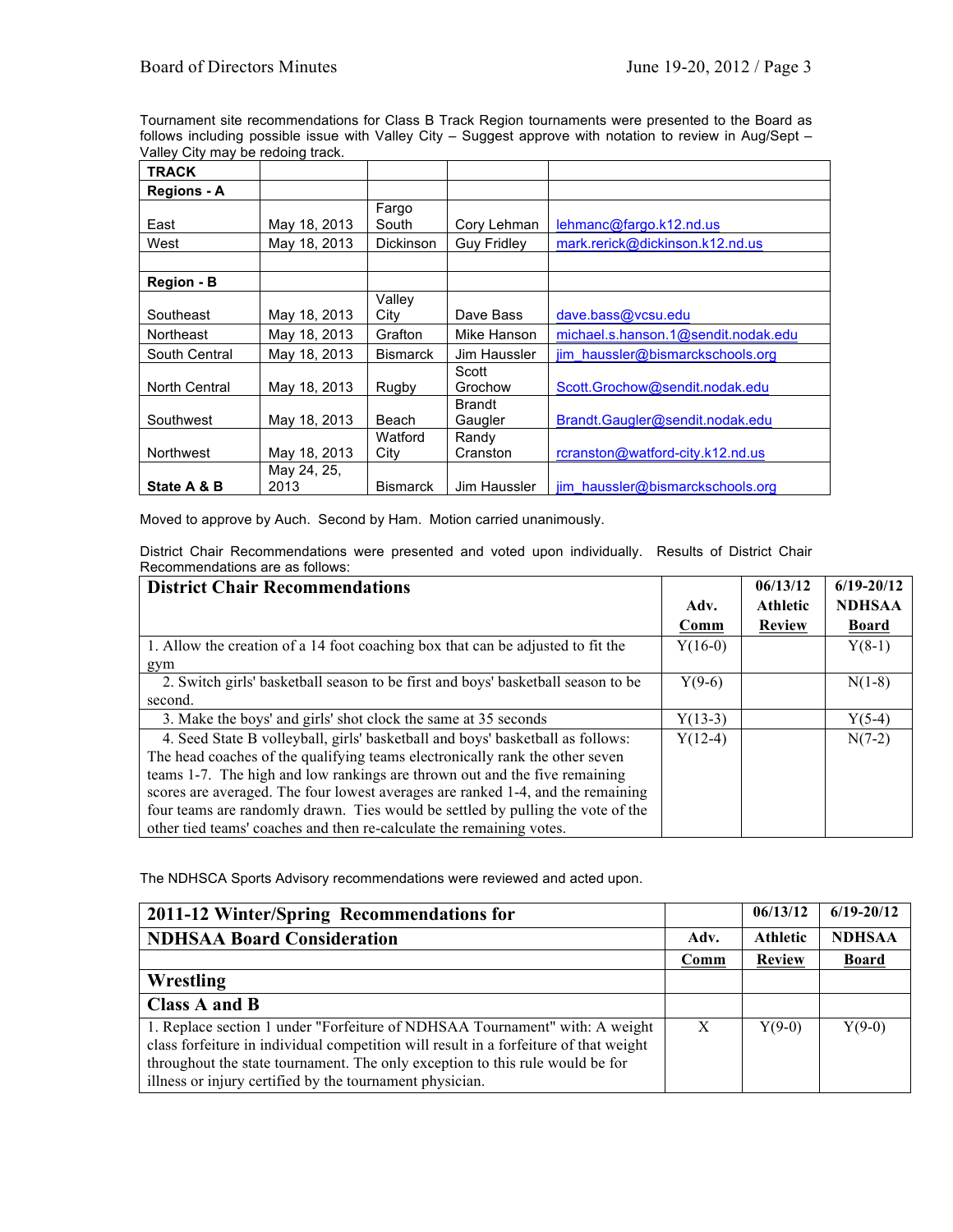Tournament site recommendations for Class B Track Region tournaments were presented to the Board as follows including possible issue with Valley City - Suggest approve with notation to review in Aug/Sept -Valley City may be redoing track.

| <b>TRACK</b>       |              |                 |                    |                                     |
|--------------------|--------------|-----------------|--------------------|-------------------------------------|
| <b>Regions - A</b> |              |                 |                    |                                     |
|                    |              | Fargo           |                    |                                     |
| East               | May 18, 2013 | South           | Cory Lehman        | lehmanc@fargo.k12.nd.us             |
| West               | May 18, 2013 | Dickinson       | <b>Guy Fridley</b> | mark.rerick@dickinson.k12.nd.us     |
|                    |              |                 |                    |                                     |
| Region - B         |              |                 |                    |                                     |
|                    |              | Valley          |                    |                                     |
| Southeast          | May 18, 2013 | City            | Dave Bass          | dave.bass@vcsu.edu                  |
| Northeast          | May 18, 2013 | Grafton         | Mike Hanson        | michael.s.hanson.1@sendit.nodak.edu |
| South Central      | May 18, 2013 | <b>Bismarck</b> | Jim Haussler       | jim haussler@bismarckschools.org    |
|                    |              |                 | Scott              |                                     |
| North Central      | May 18, 2013 | Rugby           | Grochow            | Scott.Grochow@sendit.nodak.edu      |
|                    |              |                 | <b>Brandt</b>      |                                     |
| Southwest          | May 18, 2013 | Beach           | Gaugler            | Brandt.Gaugler@sendit.nodak.edu     |
|                    |              | Watford         | Randy              |                                     |
| Northwest          | May 18, 2013 | City            | Cranston           | rcranston@watford-city.k12.nd.us    |
|                    | May 24, 25,  |                 |                    |                                     |
| State A & B        | 2013         | <b>Bismarck</b> | Jim Haussler       | jim haussler@bismarckschools.org    |

Moved to approve by Auch. Second by Ham. Motion carried unanimously.

District Chair Recommendations were presented and voted upon individually. Results of District Chair Recommendations are as follows:

| <b>District Chair Recommendations</b>                                            |           | 06/13/12        | $6/19 - 20/12$ |
|----------------------------------------------------------------------------------|-----------|-----------------|----------------|
|                                                                                  | Adv.      | <b>Athletic</b> | <b>NDHSAA</b>  |
|                                                                                  | Comm      | <b>Review</b>   | <b>Board</b>   |
| 1. Allow the creation of a 14 foot coaching box that can be adjusted to fit the  | $Y(16-0)$ |                 | $Y(8-1)$       |
| gym                                                                              |           |                 |                |
| 2. Switch girls' basketball season to be first and boys' basketball season to be | $Y(9-6)$  |                 | $N(1-8)$       |
| second.                                                                          |           |                 |                |
| 3. Make the boys' and girls' shot clock the same at 35 seconds                   | $Y(13-3)$ |                 | $Y(5-4)$       |
| 4. Seed State B volleyball, girls' basketball and boys' basketball as follows:   | $Y(12-4)$ |                 | $N(7-2)$       |
| The head coaches of the qualifying teams electronically rank the other seven     |           |                 |                |
| teams 1-7. The high and low rankings are thrown out and the five remaining       |           |                 |                |
| scores are averaged. The four lowest averages are ranked 1-4, and the remaining  |           |                 |                |
| four teams are randomly drawn. Ties would be settled by pulling the vote of the  |           |                 |                |
| other tied teams' coaches and then re-calculate the remaining votes.             |           |                 |                |

The NDHSCA Sports Advisory recommendations were reviewed and acted upon.

| 2011-12 Winter/Spring Recommendations for                                                                                                                                                                                                                                                                         |              | 06/13/12        | $6/19 - 20/12$ |
|-------------------------------------------------------------------------------------------------------------------------------------------------------------------------------------------------------------------------------------------------------------------------------------------------------------------|--------------|-----------------|----------------|
| <b>NDHSAA Board Consideration</b>                                                                                                                                                                                                                                                                                 | Adv.         | <b>Athletic</b> | <b>NDHSAA</b>  |
|                                                                                                                                                                                                                                                                                                                   | Comm         | <b>Review</b>   | <b>Board</b>   |
| Wrestling                                                                                                                                                                                                                                                                                                         |              |                 |                |
| Class A and B                                                                                                                                                                                                                                                                                                     |              |                 |                |
| 1. Replace section 1 under "Forfeiture of NDHSAA Tournament" with: A weight<br>class forfeiture in individual competition will result in a forfeiture of that weight<br>throughout the state tournament. The only exception to this rule would be for<br>illness or injury certified by the tournament physician. | $\mathbf{X}$ | $Y(9-0)$        | $Y(9-0)$       |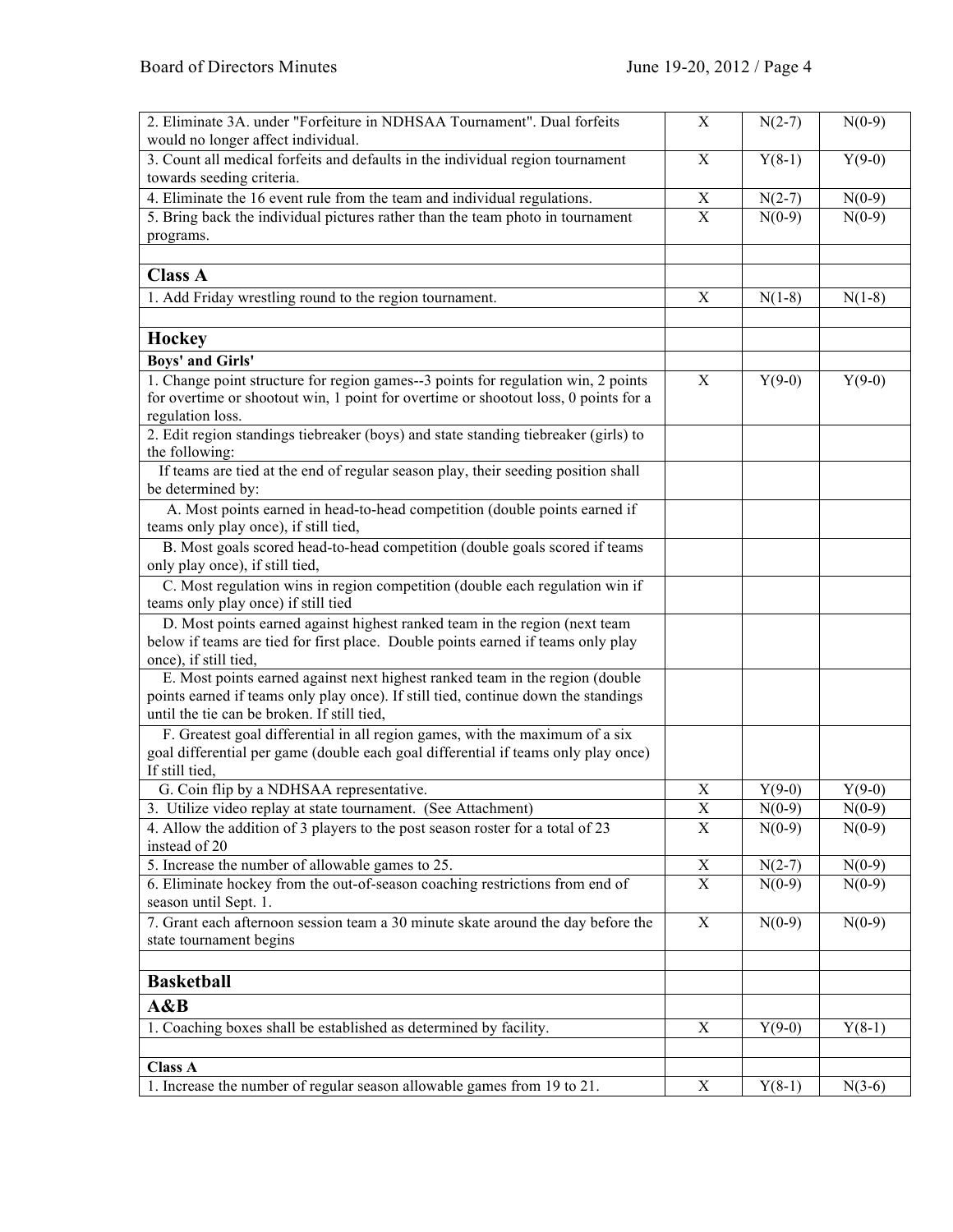| 2. Eliminate 3A. under "Forfeiture in NDHSAA Tournament". Dual forfeits                                             | $\mathbf X$               | $N(2-7)$             | $N(0-9)$             |
|---------------------------------------------------------------------------------------------------------------------|---------------------------|----------------------|----------------------|
| would no longer affect individual.                                                                                  |                           |                      |                      |
| 3. Count all medical forfeits and defaults in the individual region tournament<br>towards seeding criteria.         | $\mathbf X$               | $Y(8-1)$             | $Y(9-0)$             |
| 4. Eliminate the 16 event rule from the team and individual regulations.                                            | $\boldsymbol{\mathrm{X}}$ | $N(2-7)$             | $N(0-9)$             |
| 5. Bring back the individual pictures rather than the team photo in tournament                                      | $\mathbf X$               | $N(0-9)$             | $N(0-9)$             |
| programs.                                                                                                           |                           |                      |                      |
|                                                                                                                     |                           |                      |                      |
| <b>Class A</b>                                                                                                      |                           |                      |                      |
| 1. Add Friday wrestling round to the region tournament.                                                             | X                         | $N(1-8)$             | $N(1-8)$             |
|                                                                                                                     |                           |                      |                      |
| Hockey                                                                                                              |                           |                      |                      |
| <b>Boys' and Girls'</b>                                                                                             |                           |                      |                      |
| 1. Change point structure for region games--3 points for regulation win, 2 points                                   | $\mathbf X$               | $Y(9-0)$             | $Y(9-0)$             |
| for overtime or shootout win, 1 point for overtime or shootout loss, 0 points for a                                 |                           |                      |                      |
| regulation loss.                                                                                                    |                           |                      |                      |
| 2. Edit region standings tiebreaker (boys) and state standing tiebreaker (girls) to                                 |                           |                      |                      |
| the following:                                                                                                      |                           |                      |                      |
| If teams are tied at the end of regular season play, their seeding position shall                                   |                           |                      |                      |
| be determined by:                                                                                                   |                           |                      |                      |
| A. Most points earned in head-to-head competition (double points earned if                                          |                           |                      |                      |
| teams only play once), if still tied,                                                                               |                           |                      |                      |
| B. Most goals scored head-to-head competition (double goals scored if teams                                         |                           |                      |                      |
| only play once), if still tied,                                                                                     |                           |                      |                      |
| C. Most regulation wins in region competition (double each regulation win if<br>teams only play once) if still tied |                           |                      |                      |
| D. Most points earned against highest ranked team in the region (next team                                          |                           |                      |                      |
| below if teams are tied for first place. Double points earned if teams only play                                    |                           |                      |                      |
| once), if still tied,                                                                                               |                           |                      |                      |
| E. Most points earned against next highest ranked team in the region (double                                        |                           |                      |                      |
| points earned if teams only play once). If still tied, continue down the standings                                  |                           |                      |                      |
| until the tie can be broken. If still tied,                                                                         |                           |                      |                      |
| F. Greatest goal differential in all region games, with the maximum of a six                                        |                           |                      |                      |
| goal differential per game (double each goal differential if teams only play once)                                  |                           |                      |                      |
| If still tied,                                                                                                      |                           |                      |                      |
| G. Coin flip by a NDHSAA representative.                                                                            | X                         | $Y(9-0)$             | $Y(9-0)$             |
| 3. Utilize video replay at state tournament. (See Attachment)                                                       | $\overline{\textbf{X}}$   | $N(0-9)$             | $N(0-9)$             |
| 4. Allow the addition of 3 players to the post season roster for a total of 23                                      | $\mathbf X$               | $N(0-9)$             | $N(0-9)$             |
| instead of 20<br>5. Increase the number of allowable games to 25.                                                   | $\mathbf X$               |                      |                      |
| 6. Eliminate hockey from the out-of-season coaching restrictions from end of                                        | X                         | $N(2-7)$<br>$N(0-9)$ | $N(0-9)$<br>$N(0-9)$ |
| season until Sept. 1.                                                                                               |                           |                      |                      |
| 7. Grant each afternoon session team a 30 minute skate around the day before the                                    | $\mathbf X$               | $N(0-9)$             | $N(0-9)$             |
| state tournament begins                                                                                             |                           |                      |                      |
|                                                                                                                     |                           |                      |                      |
| <b>Basketball</b>                                                                                                   |                           |                      |                      |
| A&B                                                                                                                 |                           |                      |                      |
| 1. Coaching boxes shall be established as determined by facility.                                                   | $\boldsymbol{\mathrm{X}}$ | $Y(9-0)$             | $Y(8-1)$             |
|                                                                                                                     |                           |                      |                      |
| <b>Class A</b>                                                                                                      |                           |                      |                      |
| 1. Increase the number of regular season allowable games from 19 to 21.                                             | $\mathbf X$               | $Y(8-1)$             | $N(3-6)$             |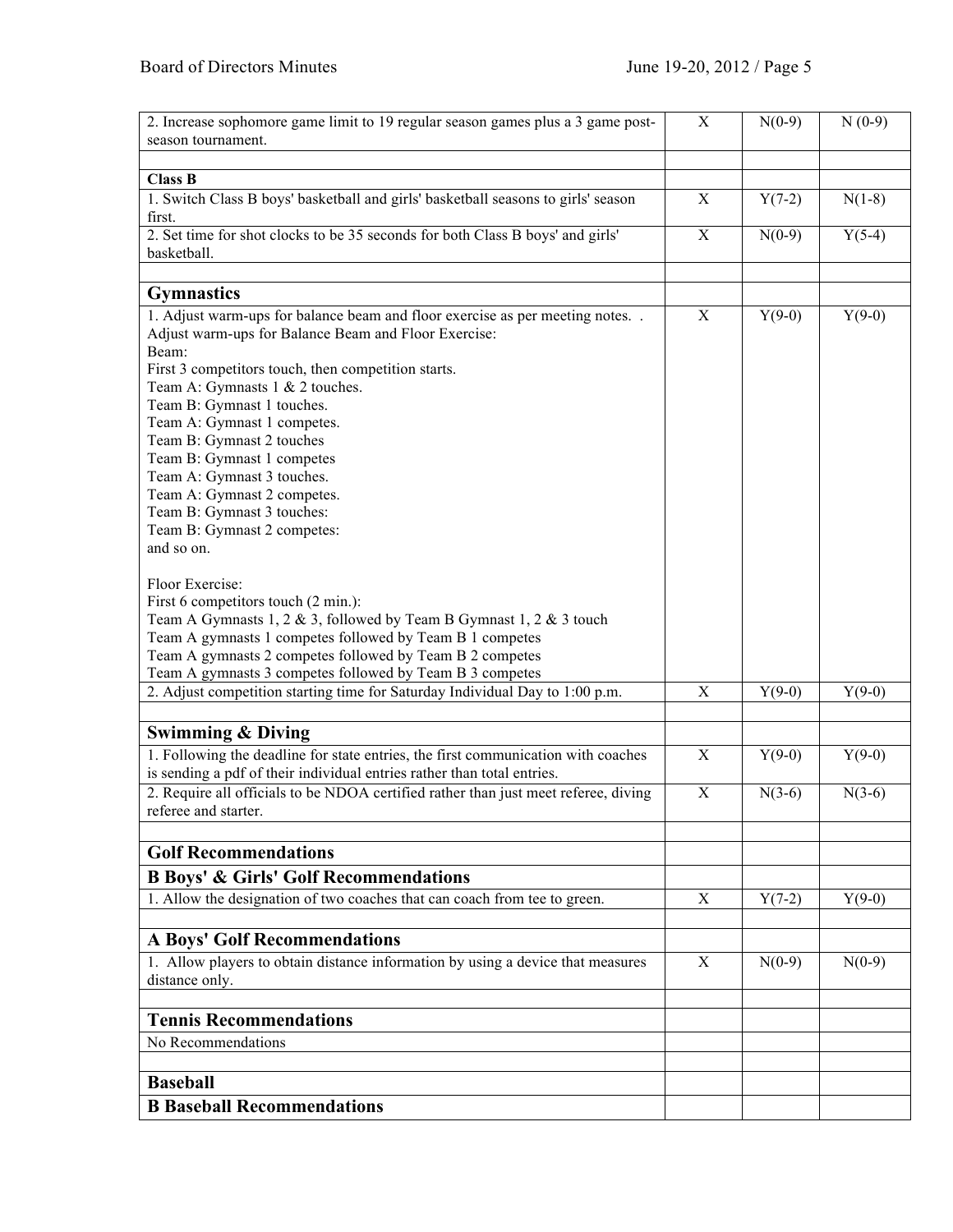| 2. Increase sophomore game limit to 19 regular season games plus a 3 game post-<br>season tournament. | $\boldsymbol{\mathrm{X}}$ | $N(0-9)$ | $N(0-9)$ |
|-------------------------------------------------------------------------------------------------------|---------------------------|----------|----------|
|                                                                                                       |                           |          |          |
| <b>Class B</b>                                                                                        |                           |          |          |
| 1. Switch Class B boys' basketball and girls' basketball seasons to girls' season<br>first.           | $\boldsymbol{\mathrm{X}}$ | $Y(7-2)$ | $N(1-8)$ |
| 2. Set time for shot clocks to be 35 seconds for both Class B boys' and girls'<br>basketball.         | $\mathbf X$               | $N(0-9)$ | $Y(5-4)$ |
|                                                                                                       |                           |          |          |
| <b>Gymnastics</b>                                                                                     |                           |          |          |
| 1. Adjust warm-ups for balance beam and floor exercise as per meeting notes. .                        | X                         | $Y(9-0)$ | $Y(9-0)$ |
| Adjust warm-ups for Balance Beam and Floor Exercise:                                                  |                           |          |          |
| Beam:                                                                                                 |                           |          |          |
| First 3 competitors touch, then competition starts.                                                   |                           |          |          |
| Team A: Gymnasts 1 & 2 touches.                                                                       |                           |          |          |
| Team B: Gymnast 1 touches.                                                                            |                           |          |          |
| Team A: Gymnast 1 competes.                                                                           |                           |          |          |
| Team B: Gymnast 2 touches                                                                             |                           |          |          |
| Team B: Gymnast 1 competes                                                                            |                           |          |          |
| Team A: Gymnast 3 touches.                                                                            |                           |          |          |
| Team A: Gymnast 2 competes.                                                                           |                           |          |          |
| Team B: Gymnast 3 touches:                                                                            |                           |          |          |
| Team B: Gymnast 2 competes:                                                                           |                           |          |          |
| and so on.                                                                                            |                           |          |          |
| Floor Exercise:                                                                                       |                           |          |          |
| First 6 competitors touch (2 min.):                                                                   |                           |          |          |
| Team A Gymnasts 1, 2 & 3, followed by Team B Gymnast 1, 2 & 3 touch                                   |                           |          |          |
| Team A gymnasts 1 competes followed by Team B 1 competes                                              |                           |          |          |
| Team A gymnasts 2 competes followed by Team B 2 competes                                              |                           |          |          |
| Team A gymnasts 3 competes followed by Team B 3 competes                                              |                           |          |          |
| 2. Adjust competition starting time for Saturday Individual Day to 1:00 p.m.                          | $\mathbf X$               | $Y(9-0)$ | $Y(9-0)$ |
|                                                                                                       |                           |          |          |
| <b>Swimming &amp; Diving</b>                                                                          |                           |          |          |
|                                                                                                       |                           |          |          |
| 1. Following the deadline for state entries, the first communication with coaches                     | $\mathbf X$               | $Y(9-0)$ | $Y(9-0)$ |
| is sending a pdf of their individual entries rather than total entries.                               |                           |          |          |
| 2. Require all officials to be NDOA certified rather than just meet referee, diving                   | $\boldsymbol{\mathrm{X}}$ | $N(3-6)$ | $N(3-6)$ |
| referee and starter.                                                                                  |                           |          |          |
| <b>Golf Recommendations</b>                                                                           |                           |          |          |
|                                                                                                       |                           |          |          |
| <b>B Boys' &amp; Girls' Golf Recommendations</b>                                                      |                           |          |          |
| 1. Allow the designation of two coaches that can coach from tee to green.                             | $\mathbf X$               | $Y(7-2)$ | $Y(9-0)$ |
|                                                                                                       |                           |          |          |
| <b>A Boys' Golf Recommendations</b>                                                                   |                           |          |          |
| 1. Allow players to obtain distance information by using a device that measures                       | X                         | $N(0-9)$ | $N(0-9)$ |
| distance only.                                                                                        |                           |          |          |
| <b>Tennis Recommendations</b>                                                                         |                           |          |          |
| No Recommendations                                                                                    |                           |          |          |
|                                                                                                       |                           |          |          |
|                                                                                                       |                           |          |          |
| <b>Baseball</b>                                                                                       |                           |          |          |
| <b>B</b> Baseball Recommendations                                                                     |                           |          |          |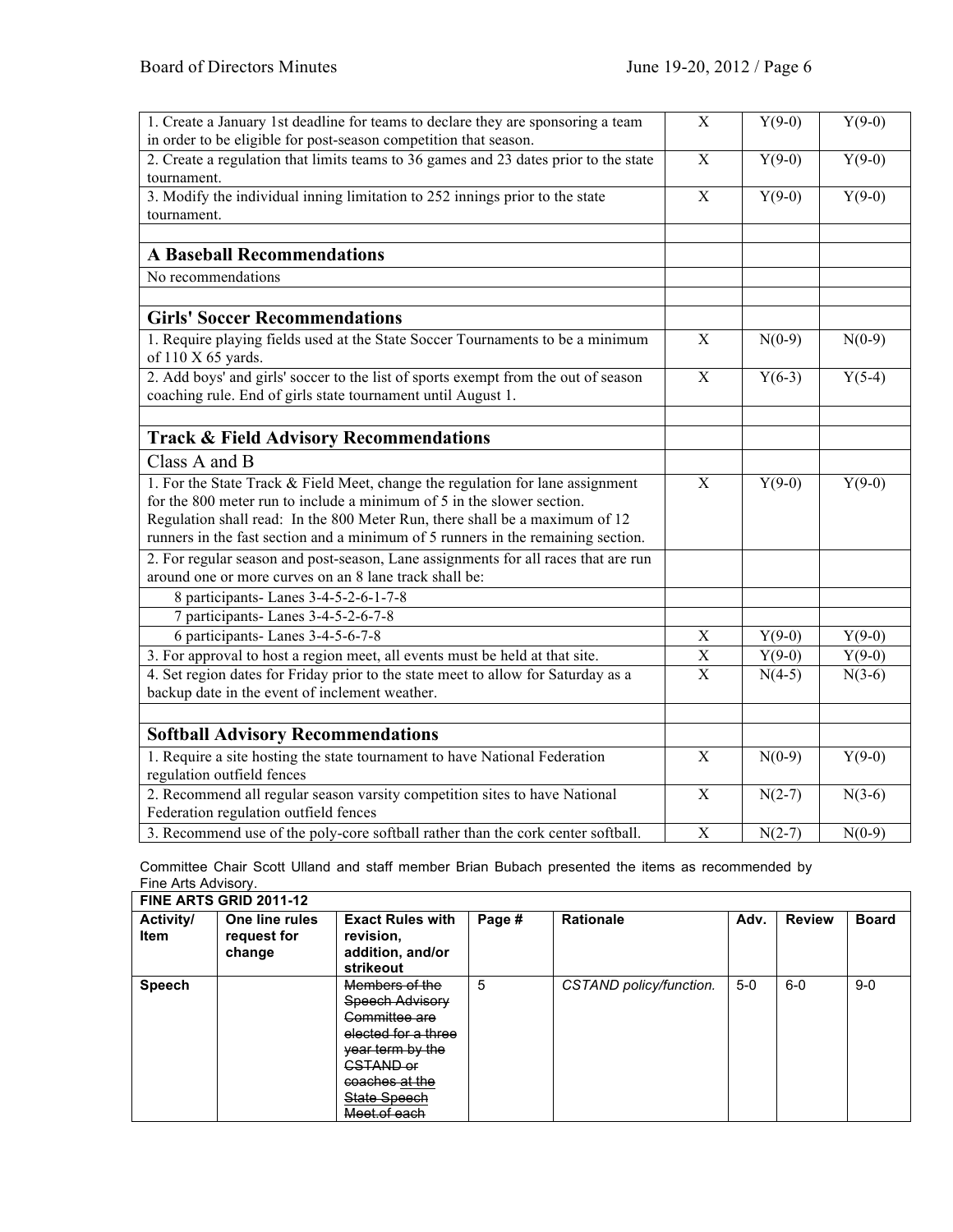| 1. Create a January 1st deadline for teams to declare they are sponsoring a team<br>in order to be eligible for post-season competition that season. | X                         | $Y(9-0)$ | $Y(9-0)$ |
|------------------------------------------------------------------------------------------------------------------------------------------------------|---------------------------|----------|----------|
| 2. Create a regulation that limits teams to 36 games and 23 dates prior to the state                                                                 | $\boldsymbol{\mathrm{X}}$ | $Y(9-0)$ | $Y(9-0)$ |
| tournament.                                                                                                                                          |                           |          |          |
| 3. Modify the individual inning limitation to 252 innings prior to the state                                                                         | $\overline{X}$            | $Y(9-0)$ | $Y(9-0)$ |
| tournament.                                                                                                                                          |                           |          |          |
|                                                                                                                                                      |                           |          |          |
| <b>A Baseball Recommendations</b>                                                                                                                    |                           |          |          |
| No recommendations                                                                                                                                   |                           |          |          |
|                                                                                                                                                      |                           |          |          |
| <b>Girls' Soccer Recommendations</b>                                                                                                                 |                           |          |          |
| 1. Require playing fields used at the State Soccer Tournaments to be a minimum<br>of 110 X 65 yards.                                                 | $\mathbf X$               | $N(0-9)$ | $N(0-9)$ |
| 2. Add boys' and girls' soccer to the list of sports exempt from the out of season                                                                   | $\mathbf X$               | $Y(6-3)$ | $Y(5-4)$ |
| coaching rule. End of girls state tournament until August 1.                                                                                         |                           |          |          |
|                                                                                                                                                      |                           |          |          |
| <b>Track &amp; Field Advisory Recommendations</b>                                                                                                    |                           |          |          |
| Class A and B                                                                                                                                        |                           |          |          |
| 1. For the State Track & Field Meet, change the regulation for lane assignment                                                                       | X                         | $Y(9-0)$ | $Y(9-0)$ |
| for the 800 meter run to include a minimum of 5 in the slower section.                                                                               |                           |          |          |
| Regulation shall read: In the 800 Meter Run, there shall be a maximum of 12                                                                          |                           |          |          |
| runners in the fast section and a minimum of 5 runners in the remaining section.                                                                     |                           |          |          |
| 2. For regular season and post-season, Lane assignments for all races that are run                                                                   |                           |          |          |
| around one or more curves on an 8 lane track shall be:                                                                                               |                           |          |          |
| 8 participants- Lanes 3-4-5-2-6-1-7-8                                                                                                                |                           |          |          |
| 7 participants- Lanes 3-4-5-2-6-7-8                                                                                                                  |                           |          |          |
| 6 participants-Lanes 3-4-5-6-7-8                                                                                                                     | $\mathbf X$               | $Y(9-0)$ | $Y(9-0)$ |
| 3. For approval to host a region meet, all events must be held at that site.                                                                         | $\mathbf X$               | $Y(9-0)$ | $Y(9-0)$ |
| 4. Set region dates for Friday prior to the state meet to allow for Saturday as a                                                                    | $\mathbf X$               | $N(4-5)$ | $N(3-6)$ |
| backup date in the event of inclement weather.                                                                                                       |                           |          |          |
|                                                                                                                                                      |                           |          |          |
| <b>Softball Advisory Recommendations</b>                                                                                                             |                           |          |          |
| 1. Require a site hosting the state tournament to have National Federation                                                                           | X                         | $N(0-9)$ | $Y(9-0)$ |
| regulation outfield fences                                                                                                                           |                           |          |          |
| 2. Recommend all regular season varsity competition sites to have National                                                                           | X                         | $N(2-7)$ | $N(3-6)$ |
| Federation regulation outfield fences                                                                                                                |                           |          |          |
| 3. Recommend use of the poly-core softball rather than the cork center softball.                                                                     | $\mathbf X$               | $N(2-7)$ | $N(0-9)$ |

Committee Chair Scott Ulland and staff member Brian Bubach presented the items as recommended by Fine Arts Advisory.

| FINE ARTS GRID 2011-12          |                                         |                                                                                                                                                                                               |        |                         |       |               |              |  |  |
|---------------------------------|-----------------------------------------|-----------------------------------------------------------------------------------------------------------------------------------------------------------------------------------------------|--------|-------------------------|-------|---------------|--------------|--|--|
| <b>Activity/</b><br><b>Item</b> | One line rules<br>request for<br>change | <b>Exact Rules with</b><br>revision,<br>addition, and/or<br>strikeout                                                                                                                         | Page # | <b>Rationale</b>        | Adv.  | <b>Review</b> | <b>Board</b> |  |  |
| <b>Speech</b>                   |                                         | Members of the<br>Speech Advisory<br><del>Committee are</del><br>elected for a three<br>vear term by the<br><del>CSTAND or</del><br><del>coaches at the</del><br>State Speech<br>Meet of each | 5      | CSTAND policy/function. | $5-0$ | $6-0$         | $9 - 0$      |  |  |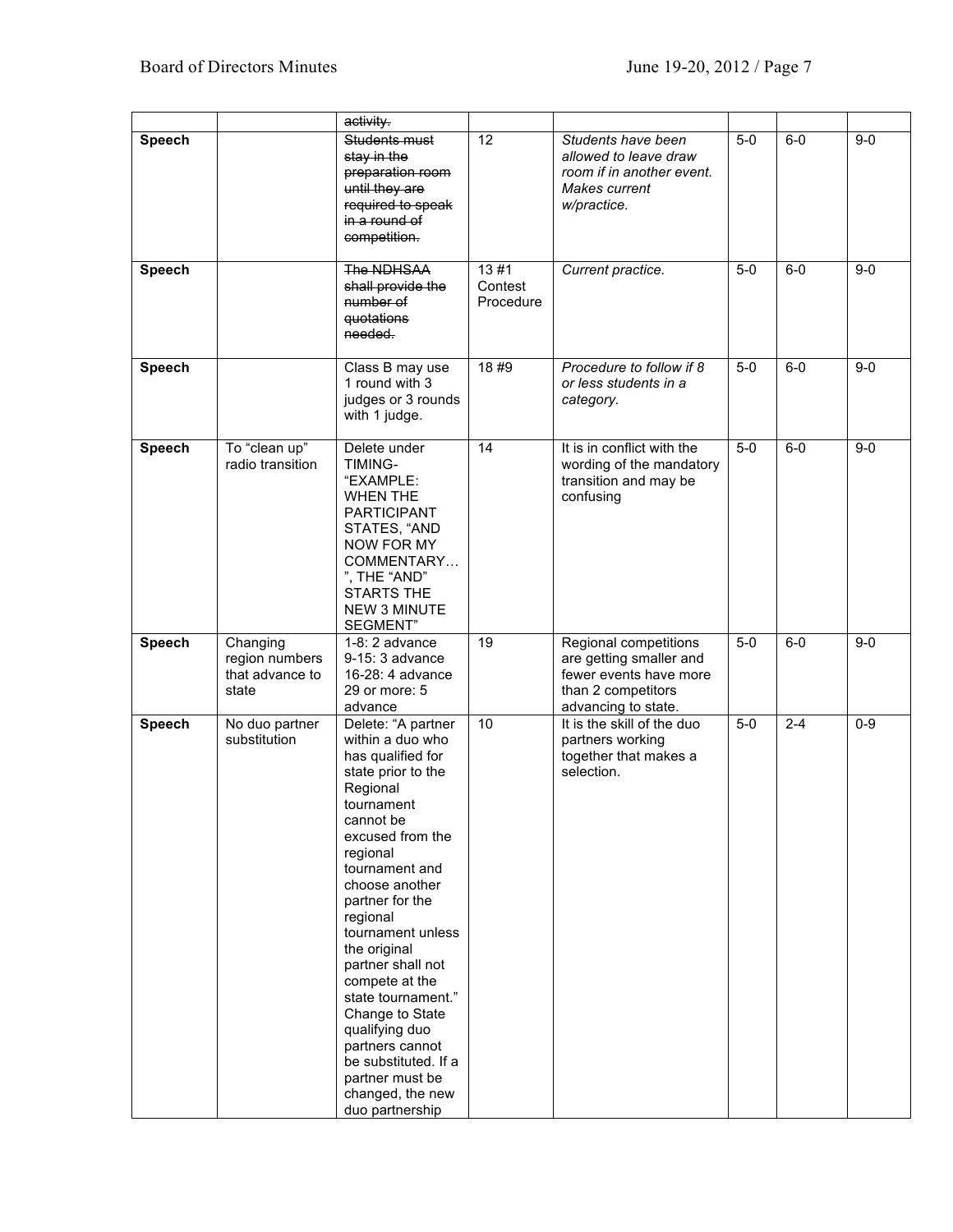|               |                                                        | activity.                                                                                                                                                                                                                                                                                                                                                                                                                                                               |                              |                                                                                                                         |       |         |         |
|---------------|--------------------------------------------------------|-------------------------------------------------------------------------------------------------------------------------------------------------------------------------------------------------------------------------------------------------------------------------------------------------------------------------------------------------------------------------------------------------------------------------------------------------------------------------|------------------------------|-------------------------------------------------------------------------------------------------------------------------|-------|---------|---------|
| <b>Speech</b> |                                                        | Students must<br>stay in the<br>preparation room<br>until they are<br>required to speak<br>in a round of<br>competition.                                                                                                                                                                                                                                                                                                                                                | 12                           | Students have been<br>allowed to leave draw<br>room if in another event.<br>Makes current<br>w/practice.                | $5-0$ | $6-0$   | $9-0$   |
| <b>Speech</b> |                                                        | The NDHSAA<br>shall provide the<br>number of<br>quotations<br>needed.                                                                                                                                                                                                                                                                                                                                                                                                   | 13#1<br>Contest<br>Procedure | Current practice.                                                                                                       | $5-0$ | $6-0$   | $9-0$   |
| Speech        |                                                        | Class B may use<br>1 round with 3<br>judges or 3 rounds<br>with 1 judge.                                                                                                                                                                                                                                                                                                                                                                                                | 18#9                         | Procedure to follow if 8<br>or less students in a<br>category.                                                          | $5-0$ | $6 - 0$ | $9 - 0$ |
| <b>Speech</b> | To "clean up"<br>radio transition                      | Delete under<br>TIMING-<br>"EXAMPLE:<br><b>WHEN THE</b><br><b>PARTICIPANT</b><br>STATES, "AND<br><b>NOW FOR MY</b><br>COMMENTARY<br>", THE "AND"<br><b>STARTS THE</b><br><b>NEW 3 MINUTE</b><br>SEGMENT"                                                                                                                                                                                                                                                                | 14                           | It is in conflict with the<br>wording of the mandatory<br>transition and may be<br>confusing                            | $5-0$ | $6-0$   | $9 - 0$ |
| <b>Speech</b> | Changing<br>region numbers<br>that advance to<br>state | $1-8:2$ advance<br>9-15: 3 advance<br>16-28: 4 advance<br>29 or more: 5<br>advance                                                                                                                                                                                                                                                                                                                                                                                      | 19                           | Regional competitions<br>are getting smaller and<br>fewer events have more<br>than 2 competitors<br>advancing to state. | $5-0$ | $6-0$   | $9 - 0$ |
| <b>Speech</b> | No duo partner<br>substitution                         | Delete: "A partner<br>within a duo who<br>has qualified for<br>state prior to the<br>Regional<br>tournament<br>cannot be<br>excused from the<br>regional<br>tournament and<br>choose another<br>partner for the<br>regional<br>tournament unless<br>the original<br>partner shall not<br>compete at the<br>state tournament."<br>Change to State<br>qualifying duo<br>partners cannot<br>be substituted. If a<br>partner must be<br>changed, the new<br>duo partnership | 10                           | It is the skill of the duo<br>partners working<br>together that makes a<br>selection.                                   | $5-0$ | $2 - 4$ | $0 - 9$ |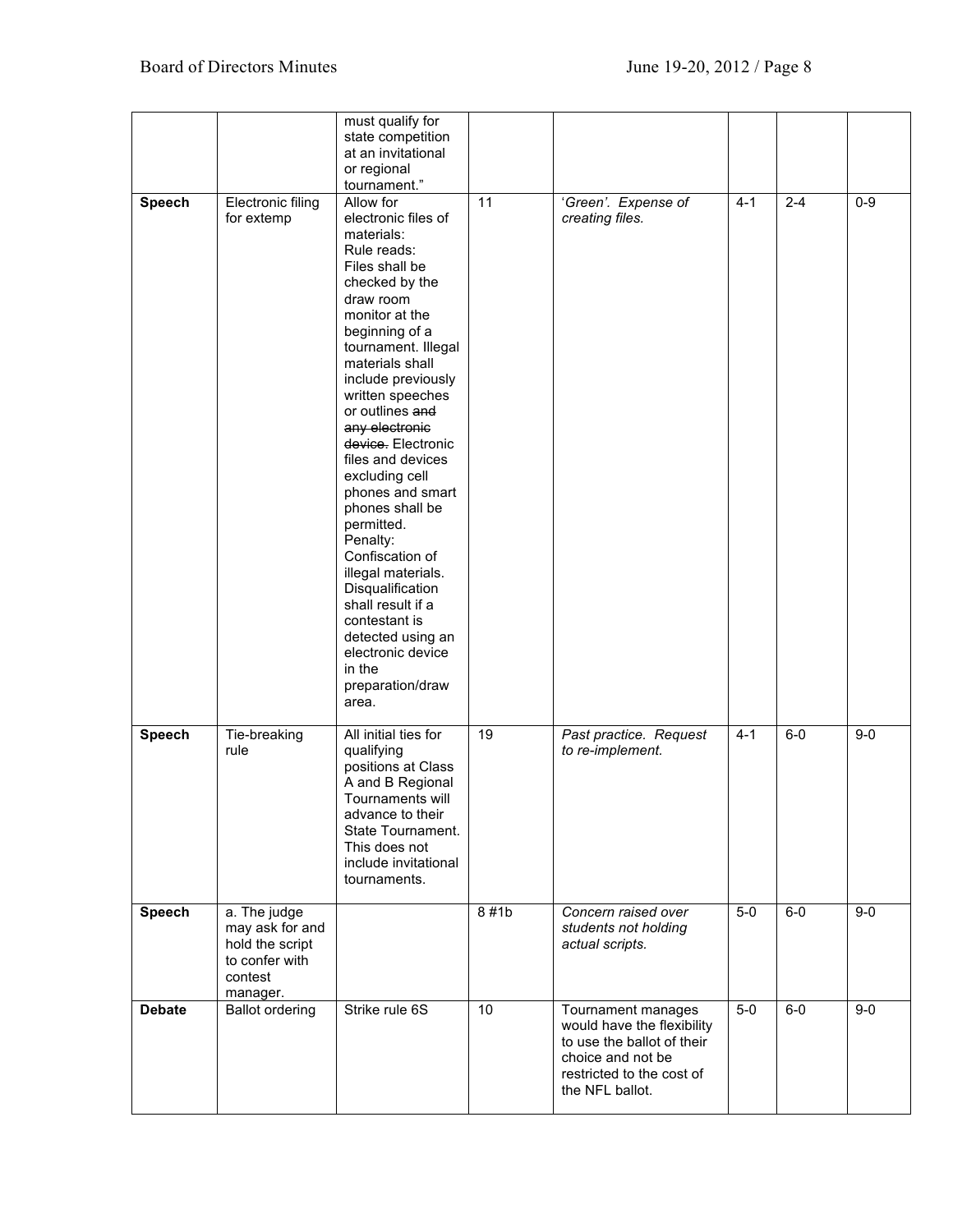|               |                                                                                             | must qualify for<br>state competition<br>at an invitational<br>or regional<br>tournament."                                                                                                                                                                                                                                                                                                                                                                                                                                                                                                    |      |                                                                                                                                                     |         |         |         |
|---------------|---------------------------------------------------------------------------------------------|-----------------------------------------------------------------------------------------------------------------------------------------------------------------------------------------------------------------------------------------------------------------------------------------------------------------------------------------------------------------------------------------------------------------------------------------------------------------------------------------------------------------------------------------------------------------------------------------------|------|-----------------------------------------------------------------------------------------------------------------------------------------------------|---------|---------|---------|
| <b>Speech</b> | Electronic filing<br>for extemp                                                             | Allow for<br>electronic files of<br>materials:<br>Rule reads:<br>Files shall be<br>checked by the<br>draw room<br>monitor at the<br>beginning of a<br>tournament. Illegal<br>materials shall<br>include previously<br>written speeches<br>or outlines and<br>any electronic<br>device. Electronic<br>files and devices<br>excluding cell<br>phones and smart<br>phones shall be<br>permitted.<br>Penalty:<br>Confiscation of<br>illegal materials.<br>Disqualification<br>shall result if a<br>contestant is<br>detected using an<br>electronic device<br>in the<br>preparation/draw<br>area. | 11   | 'Green'. Expense of<br>creating files.                                                                                                              | $4 - 1$ | $2 - 4$ | $0-9$   |
| <b>Speech</b> | Tie-breaking<br>rule                                                                        | All initial ties for<br>qualifying<br>positions at Class<br>A and B Regional<br>Tournaments will<br>advance to their<br>State Tournament.<br>This does not<br>include invitational<br>tournaments.                                                                                                                                                                                                                                                                                                                                                                                            | 19   | Past practice. Request<br>to re-implement.                                                                                                          | $4 - 1$ | $6-0$   | $9-0$   |
| <b>Speech</b> | a. The judge<br>may ask for and<br>hold the script<br>to confer with<br>contest<br>manager. |                                                                                                                                                                                                                                                                                                                                                                                                                                                                                                                                                                                               | 8#1b | Concern raised over<br>students not holding<br>actual scripts.                                                                                      | $5-0$   | $6-0$   | $9-0$   |
| <b>Debate</b> | <b>Ballot ordering</b>                                                                      | Strike rule 6S                                                                                                                                                                                                                                                                                                                                                                                                                                                                                                                                                                                | 10   | Tournament manages<br>would have the flexibility<br>to use the ballot of their<br>choice and not be<br>restricted to the cost of<br>the NFL ballot. | $5-0$   | $6-0$   | $9 - 0$ |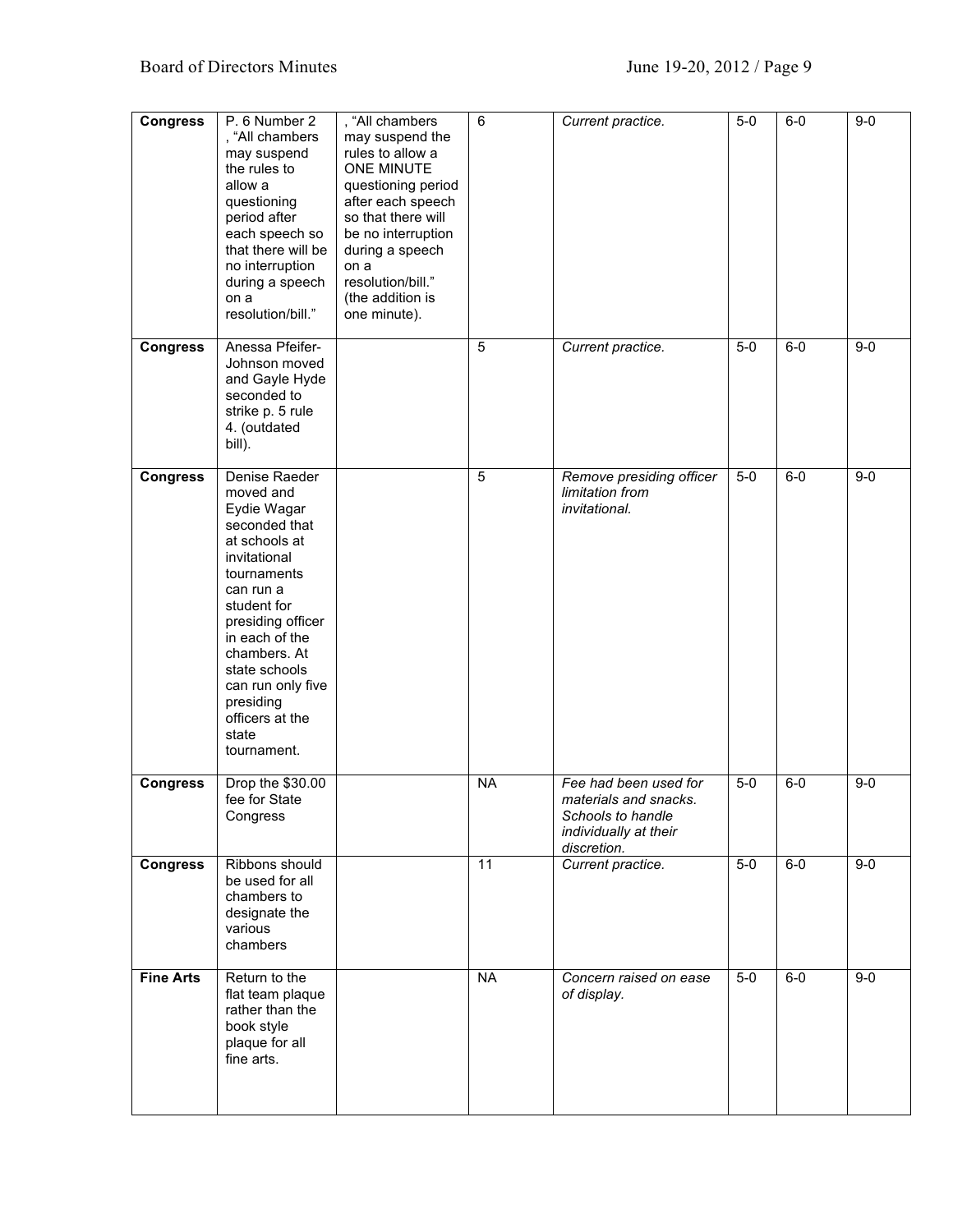| <b>Congress</b>  | P. 6 Number 2<br>, "All chambers<br>may suspend<br>the rules to<br>allow a<br>questioning<br>period after<br>each speech so<br>that there will be<br>no interruption<br>during a speech<br>on a<br>resolution/bill."                                                                        | , "All chambers<br>may suspend the<br>rules to allow a<br><b>ONE MINUTE</b><br>questioning period<br>after each speech<br>so that there will<br>be no interruption<br>during a speech<br>on a<br>resolution/bill."<br>(the addition is<br>one minute). | 6         | Current practice.                                                                                           | $5-0$ | $6-0$ | $9-0$   |
|------------------|---------------------------------------------------------------------------------------------------------------------------------------------------------------------------------------------------------------------------------------------------------------------------------------------|--------------------------------------------------------------------------------------------------------------------------------------------------------------------------------------------------------------------------------------------------------|-----------|-------------------------------------------------------------------------------------------------------------|-------|-------|---------|
| <b>Congress</b>  | Anessa Pfeifer-<br>Johnson moved<br>and Gayle Hyde<br>seconded to<br>strike p. 5 rule<br>4. (outdated<br>bill).                                                                                                                                                                             |                                                                                                                                                                                                                                                        | 5         | Current practice.                                                                                           | $5-0$ | $6-0$ | $9 - 0$ |
| <b>Congress</b>  | Denise Raeder<br>moved and<br>Eydie Wagar<br>seconded that<br>at schools at<br>invitational<br>tournaments<br>can run a<br>student for<br>presiding officer<br>in each of the<br>chambers. At<br>state schools<br>can run only five<br>presiding<br>officers at the<br>state<br>tournament. |                                                                                                                                                                                                                                                        | 5         | Remove presiding officer<br>limitation from<br>invitational.                                                | $5-0$ | $6-0$ | $9 - 0$ |
| <b>Congress</b>  | Drop the \$30.00<br>fee for State<br>Congress                                                                                                                                                                                                                                               |                                                                                                                                                                                                                                                        | <b>NA</b> | Fee had been used for<br>materials and snacks.<br>Schools to handle<br>individually at their<br>discretion. | $5-0$ | $6-0$ | $9-0$   |
| <b>Congress</b>  | Ribbons should<br>be used for all<br>chambers to<br>designate the<br>various<br>chambers                                                                                                                                                                                                    |                                                                                                                                                                                                                                                        | 11        | Current practice.                                                                                           | $5-0$ | $6-0$ | $9-0$   |
| <b>Fine Arts</b> | Return to the<br>flat team plaque<br>rather than the<br>book style<br>plaque for all<br>fine arts.                                                                                                                                                                                          |                                                                                                                                                                                                                                                        | <b>NA</b> | Concern raised on ease<br>of display.                                                                       | $5-0$ | $6-0$ | $9-0$   |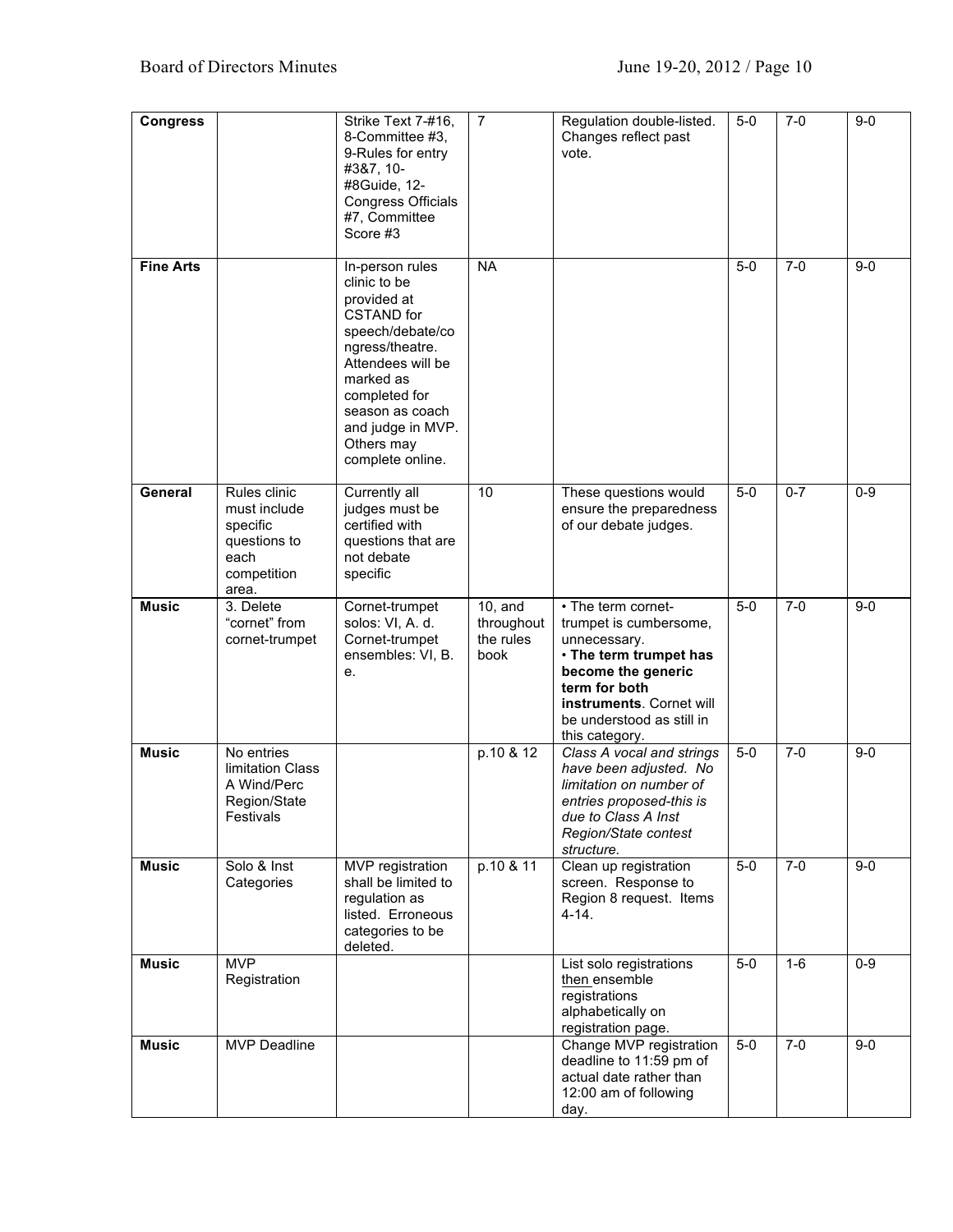| <b>Congress</b>  |                                                                                          | Strike Text 7-#16,<br>8-Committee #3,<br>9-Rules for entry<br>#3&7, 10-<br>#8Guide, 12-<br>Congress Officials<br>#7, Committee<br>Score #3                                                                                              | $\overline{7}$                                | Regulation double-listed.<br>Changes reflect past<br>vote.                                                                                                                                               | $5-0$ | $7-0$   | $9 - 0$ |
|------------------|------------------------------------------------------------------------------------------|-----------------------------------------------------------------------------------------------------------------------------------------------------------------------------------------------------------------------------------------|-----------------------------------------------|----------------------------------------------------------------------------------------------------------------------------------------------------------------------------------------------------------|-------|---------|---------|
| <b>Fine Arts</b> |                                                                                          | In-person rules<br>clinic to be<br>provided at<br><b>CSTAND</b> for<br>speech/debate/co<br>ngress/theatre.<br>Attendees will be<br>marked as<br>completed for<br>season as coach<br>and judge in MVP.<br>Others may<br>complete online. | <b>NA</b>                                     |                                                                                                                                                                                                          | $5-0$ | $7 - 0$ | $9-0$   |
| General          | Rules clinic<br>must include<br>specific<br>questions to<br>each<br>competition<br>area. | Currently all<br>judges must be<br>certified with<br>questions that are<br>not debate<br>specific                                                                                                                                       | 10                                            | These questions would<br>ensure the preparedness<br>of our debate judges.                                                                                                                                | $5-0$ | $0 - 7$ | $0 - 9$ |
| <b>Music</b>     | 3. Delete<br>"cornet" from<br>cornet-trumpet                                             | Cornet-trumpet<br>solos: VI, A. d.<br>Cornet-trumpet<br>ensembles: VI, B.<br>е.                                                                                                                                                         | $10$ , and<br>throughout<br>the rules<br>book | • The term cornet-<br>trumpet is cumbersome,<br>unnecessary.<br>. The term trumpet has<br>become the generic<br>term for both<br>instruments. Cornet will<br>be understood as still in<br>this category. | $5-0$ | $7-0$   | $9 - 0$ |
| <b>Music</b>     | No entries<br>limitation Class<br>A Wind/Perc<br>Region/State<br>Festivals               |                                                                                                                                                                                                                                         | p.10 & 12                                     | Class A vocal and strings<br>have been adjusted. No<br>limitation on number of<br>entries proposed-this is<br>due to Class A Inst<br>Region/State contest<br>structure.                                  | $5-0$ | $7-0$   | $9-0$   |
| <b>Music</b>     | Solo & Inst<br>Categories                                                                | MVP registration<br>shall be limited to<br>regulation as<br>listed. Erroneous<br>categories to be<br>deleted.                                                                                                                           | p.10 & 11                                     | Clean up registration<br>screen. Response to<br>Region 8 request. Items<br>4-14.                                                                                                                         | $5-0$ | $7-0$   | $9-0$   |
| <b>Music</b>     | <b>MVP</b><br>Registration                                                               |                                                                                                                                                                                                                                         |                                               | List solo registrations<br>then ensemble<br>registrations<br>alphabetically on<br>registration page.                                                                                                     | $5-0$ | $1-6$   | $0 - 9$ |
| <b>Music</b>     | <b>MVP Deadline</b>                                                                      |                                                                                                                                                                                                                                         |                                               | Change MVP registration<br>deadline to 11:59 pm of<br>actual date rather than<br>12:00 am of following<br>day.                                                                                           | $5-0$ | $7-0$   | $9-0$   |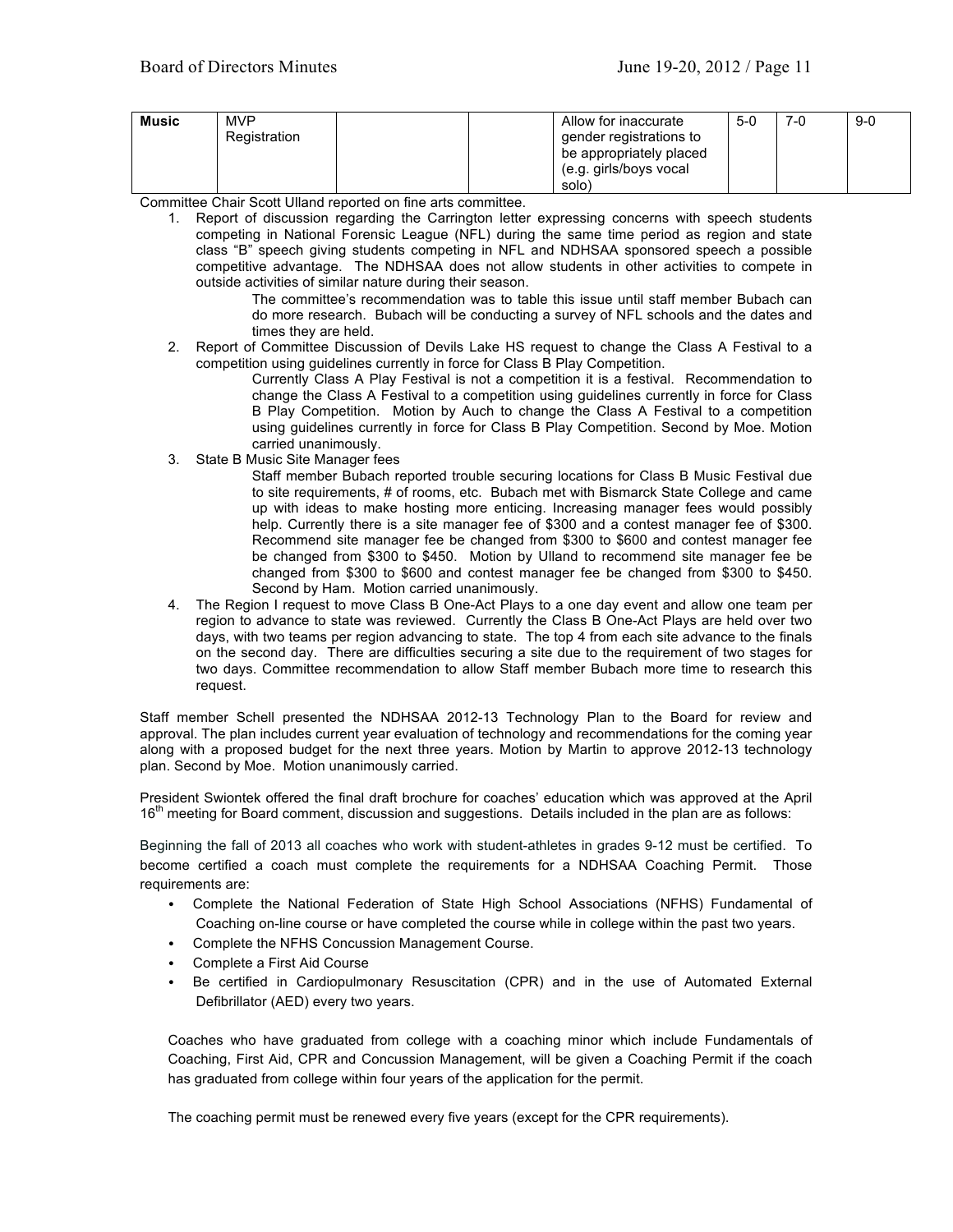| <b>Music</b> | <b>MVP</b><br>Registration | Allow for inaccurate<br>gender registrations to<br>be appropriately placed<br>(e.g. girls/boys vocal<br>solo) | $5-0$ | 7-0 | 9-0 |
|--------------|----------------------------|---------------------------------------------------------------------------------------------------------------|-------|-----|-----|
|--------------|----------------------------|---------------------------------------------------------------------------------------------------------------|-------|-----|-----|

Committee Chair Scott Ulland reported on fine arts committee.

1. Report of discussion regarding the Carrington letter expressing concerns with speech students competing in National Forensic League (NFL) during the same time period as region and state class "B" speech giving students competing in NFL and NDHSAA sponsored speech a possible competitive advantage. The NDHSAA does not allow students in other activities to compete in outside activities of similar nature during their season.

> The committee's recommendation was to table this issue until staff member Bubach can do more research. Bubach will be conducting a survey of NFL schools and the dates and times they are held.

2. Report of Committee Discussion of Devils Lake HS request to change the Class A Festival to a competition using guidelines currently in force for Class B Play Competition.

Currently Class A Play Festival is not a competition it is a festival. Recommendation to change the Class A Festival to a competition using guidelines currently in force for Class B Play Competition. Motion by Auch to change the Class A Festival to a competition using guidelines currently in force for Class B Play Competition. Second by Moe. Motion carried unanimously.

3. State B Music Site Manager fees

Staff member Bubach reported trouble securing locations for Class B Music Festival due to site requirements, # of rooms, etc. Bubach met with Bismarck State College and came up with ideas to make hosting more enticing. Increasing manager fees would possibly help. Currently there is a site manager fee of \$300 and a contest manager fee of \$300. Recommend site manager fee be changed from \$300 to \$600 and contest manager fee be changed from \$300 to \$450. Motion by Ulland to recommend site manager fee be changed from \$300 to \$600 and contest manager fee be changed from \$300 to \$450. Second by Ham. Motion carried unanimously.

4. The Region I request to move Class B One-Act Plays to a one day event and allow one team per region to advance to state was reviewed. Currently the Class B One-Act Plays are held over two days, with two teams per region advancing to state. The top 4 from each site advance to the finals on the second day. There are difficulties securing a site due to the requirement of two stages for two days. Committee recommendation to allow Staff member Bubach more time to research this request.

Staff member Schell presented the NDHSAA 2012-13 Technology Plan to the Board for review and approval. The plan includes current year evaluation of technology and recommendations for the coming year along with a proposed budget for the next three years. Motion by Martin to approve 2012-13 technology plan. Second by Moe. Motion unanimously carried.

President Swiontek offered the final draft brochure for coaches' education which was approved at the April  $16<sup>th</sup>$  meeting for Board comment, discussion and suggestions. Details included in the plan are as follows:

Beginning the fall of 2013 all coaches who work with student-athletes in grades 9-12 must be certified. To become certified a coach must complete the requirements for a NDHSAA Coaching Permit. Those requirements are:

- Complete the National Federation of State High School Associations (NFHS) Fundamental of Coaching on-line course or have completed the course while in college within the past two years.
- Complete the NFHS Concussion Management Course.
- Complete a First Aid Course
- Be certified in Cardiopulmonary Resuscitation (CPR) and in the use of Automated External Defibrillator (AED) every two years.

Coaches who have graduated from college with a coaching minor which include Fundamentals of Coaching, First Aid, CPR and Concussion Management, will be given a Coaching Permit if the coach has graduated from college within four years of the application for the permit.

The coaching permit must be renewed every five years (except for the CPR requirements).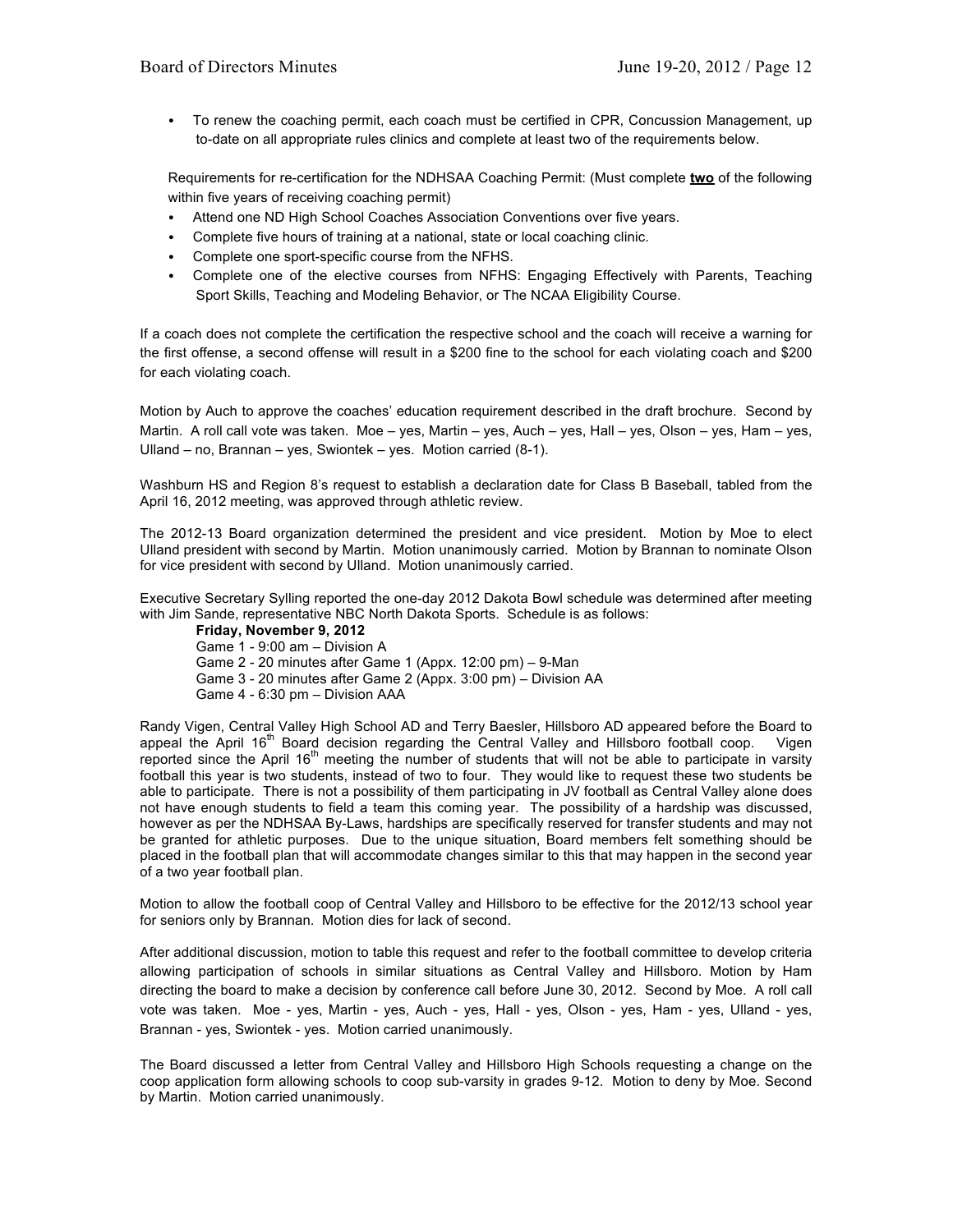• To renew the coaching permit, each coach must be certified in CPR, Concussion Management, up to-date on all appropriate rules clinics and complete at least two of the requirements below.

Requirements for re-certification for the NDHSAA Coaching Permit: (Must complete **two** of the following within five years of receiving coaching permit)

- Attend one ND High School Coaches Association Conventions over five years.
- Complete five hours of training at a national, state or local coaching clinic.
- Complete one sport-specific course from the NFHS.
- Complete one of the elective courses from NFHS: Engaging Effectively with Parents, Teaching Sport Skills, Teaching and Modeling Behavior, or The NCAA Eligibility Course.

If a coach does not complete the certification the respective school and the coach will receive a warning for the first offense, a second offense will result in a \$200 fine to the school for each violating coach and \$200 for each violating coach.

Motion by Auch to approve the coaches' education requirement described in the draft brochure. Second by Martin. A roll call vote was taken. Moe – yes, Martin – yes, Auch – yes, Hall – yes, Olson – yes, Ham – yes, Ulland – no, Brannan – yes, Swiontek – yes. Motion carried (8-1).

Washburn HS and Region 8's request to establish a declaration date for Class B Baseball, tabled from the April 16, 2012 meeting, was approved through athletic review.

The 2012-13 Board organization determined the president and vice president. Motion by Moe to elect Ulland president with second by Martin. Motion unanimously carried. Motion by Brannan to nominate Olson for vice president with second by Ulland. Motion unanimously carried.

Executive Secretary Sylling reported the one-day 2012 Dakota Bowl schedule was determined after meeting with Jim Sande, representative NBC North Dakota Sports. Schedule is as follows:

**Friday, November 9, 2012** Game 1 - 9:00 am – Division A Game 2 - 20 minutes after Game 1 (Appx. 12:00 pm) – 9-Man Game 3 - 20 minutes after Game 2 (Appx. 3:00 pm) – Division AA Game 4 - 6:30 pm – Division AAA

Randy Vigen, Central Valley High School AD and Terry Baesler, Hillsboro AD appeared before the Board to appeal the April 16<sup>th</sup> Board decision regarding the Central Valley and Hillsboro football coop. Vigen reported since the April  $16<sup>th</sup>$  meeting the number of students that will not be able to participate in varsity football this year is two students, instead of two to four. They would like to request these two students be able to participate. There is not a possibility of them participating in JV football as Central Valley alone does not have enough students to field a team this coming year. The possibility of a hardship was discussed, however as per the NDHSAA By-Laws, hardships are specifically reserved for transfer students and may not be granted for athletic purposes. Due to the unique situation, Board members felt something should be placed in the football plan that will accommodate changes similar to this that may happen in the second year of a two year football plan.

Motion to allow the football coop of Central Valley and Hillsboro to be effective for the 2012/13 school year for seniors only by Brannan. Motion dies for lack of second.

After additional discussion, motion to table this request and refer to the football committee to develop criteria allowing participation of schools in similar situations as Central Valley and Hillsboro. Motion by Ham directing the board to make a decision by conference call before June 30, 2012. Second by Moe. A roll call vote was taken. Moe - yes, Martin - yes, Auch - yes, Hall - yes, Olson - yes, Ham - yes, Ulland - yes, Brannan - yes, Swiontek - yes. Motion carried unanimously.

The Board discussed a letter from Central Valley and Hillsboro High Schools requesting a change on the coop application form allowing schools to coop sub-varsity in grades 9-12. Motion to deny by Moe. Second by Martin. Motion carried unanimously.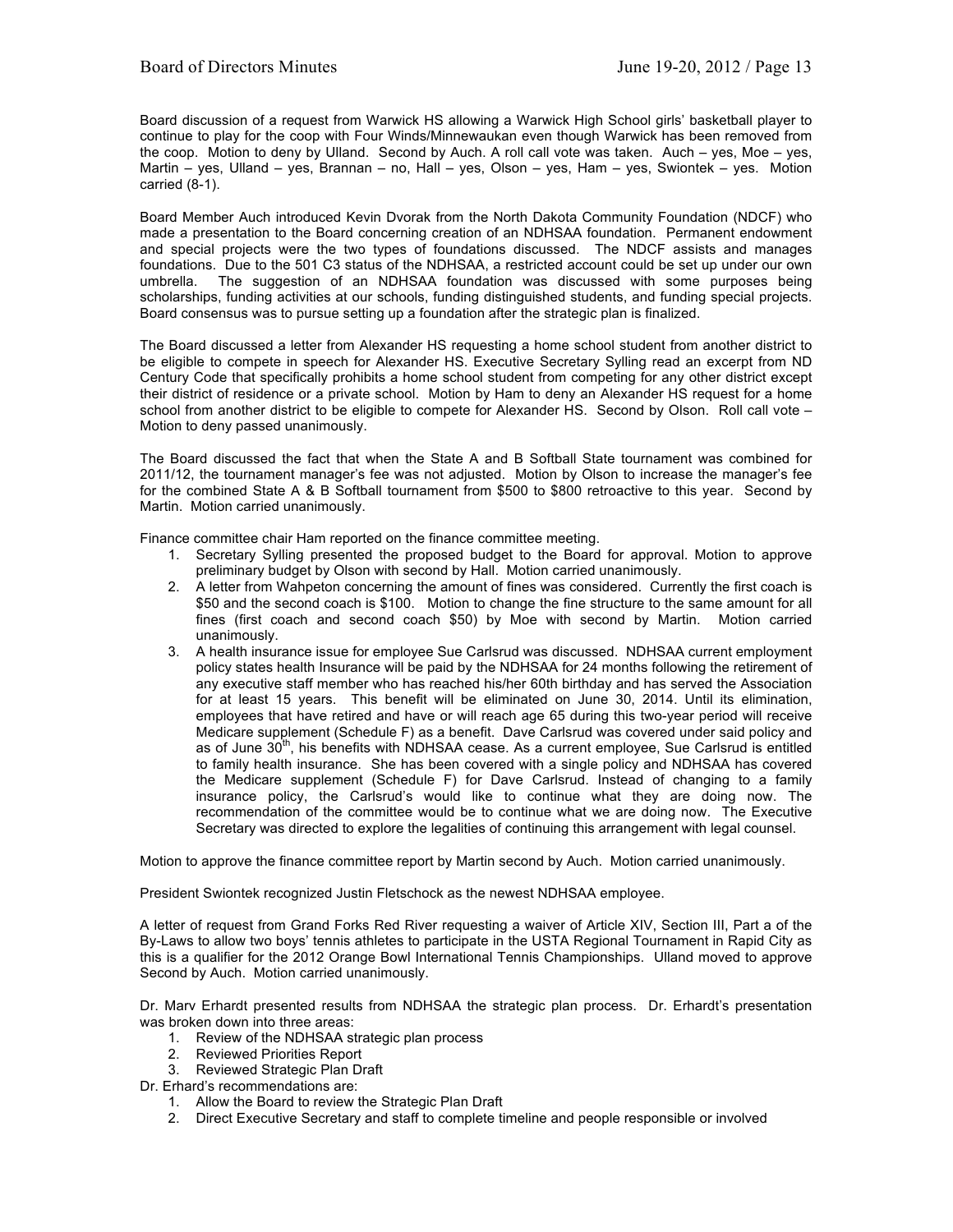Board discussion of a request from Warwick HS allowing a Warwick High School girls' basketball player to continue to play for the coop with Four Winds/Minnewaukan even though Warwick has been removed from the coop. Motion to deny by Ulland. Second by Auch. A roll call vote was taken. Auch – yes, Moe – yes, Martin – yes, Ulland – yes, Brannan – no, Hall – yes, Olson – yes, Ham – yes, Swiontek – yes. Motion carried (8-1).

Board Member Auch introduced Kevin Dvorak from the North Dakota Community Foundation (NDCF) who made a presentation to the Board concerning creation of an NDHSAA foundation. Permanent endowment and special projects were the two types of foundations discussed. The NDCF assists and manages foundations. Due to the 501 C3 status of the NDHSAA, a restricted account could be set up under our own umbrella. The suggestion of an NDHSAA foundation was discussed with some purposes being The suggestion of an NDHSAA foundation was discussed with some purposes being scholarships, funding activities at our schools, funding distinguished students, and funding special projects. Board consensus was to pursue setting up a foundation after the strategic plan is finalized.

The Board discussed a letter from Alexander HS requesting a home school student from another district to be eligible to compete in speech for Alexander HS. Executive Secretary Sylling read an excerpt from ND Century Code that specifically prohibits a home school student from competing for any other district except their district of residence or a private school. Motion by Ham to deny an Alexander HS request for a home school from another district to be eligible to compete for Alexander HS. Second by Olson. Roll call vote – Motion to deny passed unanimously.

The Board discussed the fact that when the State A and B Softball State tournament was combined for 2011/12, the tournament manager's fee was not adjusted. Motion by Olson to increase the manager's fee for the combined State A & B Softball tournament from \$500 to \$800 retroactive to this year. Second by Martin. Motion carried unanimously.

Finance committee chair Ham reported on the finance committee meeting.

- 1. Secretary Sylling presented the proposed budget to the Board for approval. Motion to approve preliminary budget by Olson with second by Hall. Motion carried unanimously.
- 2. A letter from Wahpeton concerning the amount of fines was considered. Currently the first coach is \$50 and the second coach is \$100. Motion to change the fine structure to the same amount for all fines (first coach and second coach \$50) by Moe with second by Martin. Motion carried unanimously.
- 3. A health insurance issue for employee Sue Carlsrud was discussed. NDHSAA current employment policy states health Insurance will be paid by the NDHSAA for 24 months following the retirement of any executive staff member who has reached his/her 60th birthday and has served the Association for at least 15 years. This benefit will be eliminated on June 30, 2014. Until its elimination, employees that have retired and have or will reach age 65 during this two-year period will receive Medicare supplement (Schedule F) as a benefit. Dave Carlsrud was covered under said policy and as of June 30<sup>th</sup>, his benefits with NDHSAA cease. As a current employee, Sue Carlsrud is entitled to family health insurance. She has been covered with a single policy and NDHSAA has covered the Medicare supplement (Schedule F) for Dave Carlsrud. Instead of changing to a family insurance policy, the Carlsrud's would like to continue what they are doing now. The recommendation of the committee would be to continue what we are doing now. The Executive Secretary was directed to explore the legalities of continuing this arrangement with legal counsel.

Motion to approve the finance committee report by Martin second by Auch. Motion carried unanimously.

President Swiontek recognized Justin Fletschock as the newest NDHSAA employee.

A letter of request from Grand Forks Red River requesting a waiver of Article XIV, Section III, Part a of the By-Laws to allow two boys' tennis athletes to participate in the USTA Regional Tournament in Rapid City as this is a qualifier for the 2012 Orange Bowl International Tennis Championships. Ulland moved to approve Second by Auch. Motion carried unanimously.

Dr. Marv Erhardt presented results from NDHSAA the strategic plan process. Dr. Erhardt's presentation was broken down into three areas:

- 1. Review of the NDHSAA strategic plan process
- 2. Reviewed Priorities Report
- 3. Reviewed Strategic Plan Draft

Dr. Erhard's recommendations are:

- 1. Allow the Board to review the Strategic Plan Draft
- 2. Direct Executive Secretary and staff to complete timeline and people responsible or involved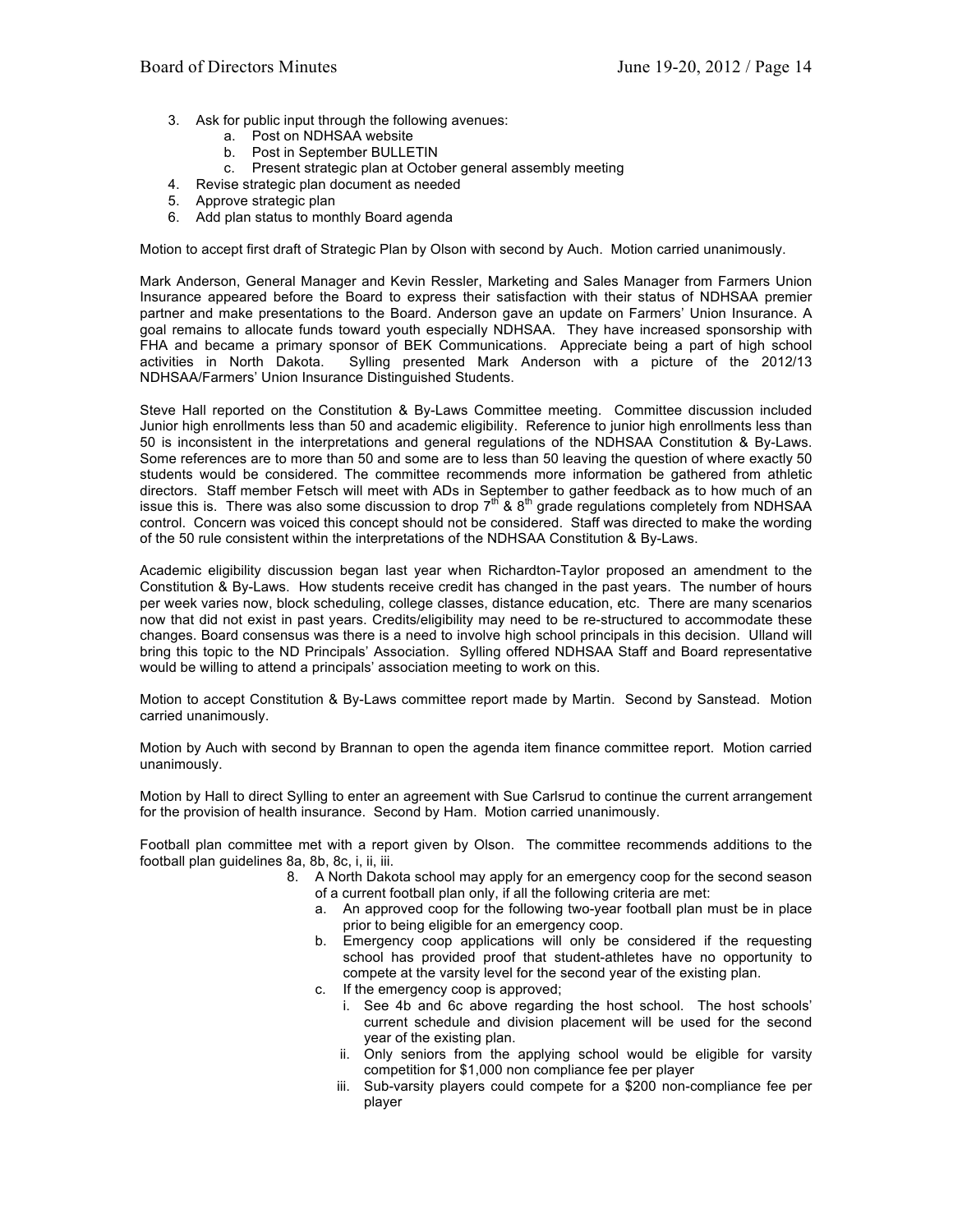- 3. Ask for public input through the following avenues:
	- a. Post on NDHSAA website
	- b. Post in September BULLETIN
	- c. Present strategic plan at October general assembly meeting
- 4. Revise strategic plan document as needed
- 5. Approve strategic plan
- 6. Add plan status to monthly Board agenda

Motion to accept first draft of Strategic Plan by Olson with second by Auch. Motion carried unanimously.

Mark Anderson, General Manager and Kevin Ressler, Marketing and Sales Manager from Farmers Union Insurance appeared before the Board to express their satisfaction with their status of NDHSAA premier partner and make presentations to the Board. Anderson gave an update on Farmers' Union Insurance. A goal remains to allocate funds toward youth especially NDHSAA. They have increased sponsorship with FHA and became a primary sponsor of BEK Communications. Appreciate being a part of high school activities in North Dakota. Sylling presented Mark Anderson with a picture of the 2012/13 NDHSAA/Farmers' Union Insurance Distinguished Students.

Steve Hall reported on the Constitution & By-Laws Committee meeting. Committee discussion included Junior high enrollments less than 50 and academic eligibility. Reference to junior high enrollments less than 50 is inconsistent in the interpretations and general regulations of the NDHSAA Constitution & By-Laws. Some references are to more than 50 and some are to less than 50 leaving the question of where exactly 50 students would be considered. The committee recommends more information be gathered from athletic directors. Staff member Fetsch will meet with ADs in September to gather feedback as to how much of an issue this is. There was also some discussion to drop  $7<sup>th</sup>$  & 8<sup>th</sup> grade regulations completely from NDHSAA control. Concern was voiced this concept should not be considered. Staff was directed to make the wording of the 50 rule consistent within the interpretations of the NDHSAA Constitution & By-Laws.

Academic eligibility discussion began last year when Richardton-Taylor proposed an amendment to the Constitution & By-Laws. How students receive credit has changed in the past years. The number of hours per week varies now, block scheduling, college classes, distance education, etc. There are many scenarios now that did not exist in past years. Credits/eligibility may need to be re-structured to accommodate these changes. Board consensus was there is a need to involve high school principals in this decision. Ulland will bring this topic to the ND Principals' Association. Sylling offered NDHSAA Staff and Board representative would be willing to attend a principals' association meeting to work on this.

Motion to accept Constitution & By-Laws committee report made by Martin. Second by Sanstead. Motion carried unanimously.

Motion by Auch with second by Brannan to open the agenda item finance committee report. Motion carried unanimously.

Motion by Hall to direct Sylling to enter an agreement with Sue Carlsrud to continue the current arrangement for the provision of health insurance. Second by Ham. Motion carried unanimously.

Football plan committee met with a report given by Olson. The committee recommends additions to the football plan guidelines 8a, 8b, 8c, i, ii, iii.

- 8. A North Dakota school may apply for an emergency coop for the second season of a current football plan only, if all the following criteria are met:
	- a. An approved coop for the following two-year football plan must be in place prior to being eligible for an emergency coop.
	- b. Emergency coop applications will only be considered if the requesting school has provided proof that student-athletes have no opportunity to compete at the varsity level for the second year of the existing plan.
	- c. If the emergency coop is approved;
		- i. See 4b and 6c above regarding the host school. The host schools' current schedule and division placement will be used for the second year of the existing plan.
		- ii. Only seniors from the applying school would be eligible for varsity competition for \$1,000 non compliance fee per player
		- iii. Sub-varsity players could compete for a \$200 non-compliance fee per player